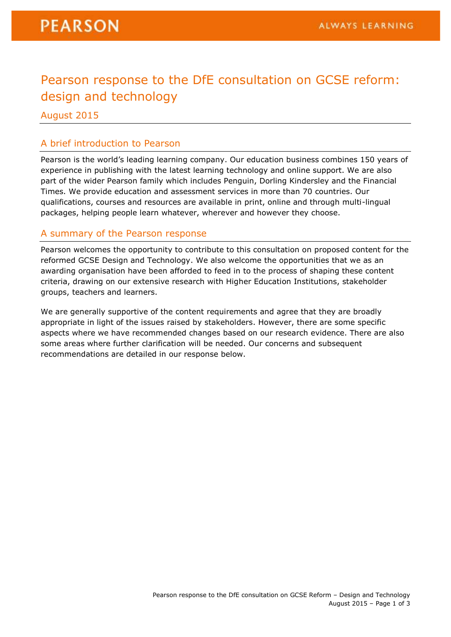## Pearson response to the DfE consultation on GCSE reform: design and technology

August 2015

#### A brief introduction to Pearson

Pearson is the world's leading learning company. Our education business combines 150 years of experience in publishing with the latest learning technology and online support. We are also part of the wider Pearson family which includes Penguin, Dorling Kindersley and the Financial Times. We provide education and assessment services in more than 70 countries. Our qualifications, courses and resources are available in print, online and through multi-lingual packages, helping people learn whatever, wherever and however they choose.

#### A summary of the Pearson response

Pearson welcomes the opportunity to contribute to this consultation on proposed content for the reformed GCSE Design and Technology. We also welcome the opportunities that we as an awarding organisation have been afforded to feed in to the process of shaping these content criteria, drawing on our extensive research with Higher Education Institutions, stakeholder groups, teachers and learners.

We are generally supportive of the content requirements and agree that they are broadly appropriate in light of the issues raised by stakeholders. However, there are some specific aspects where we have recommended changes based on our research evidence. There are also some areas where further clarification will be needed. Our concerns and subsequent recommendations are detailed in our response below.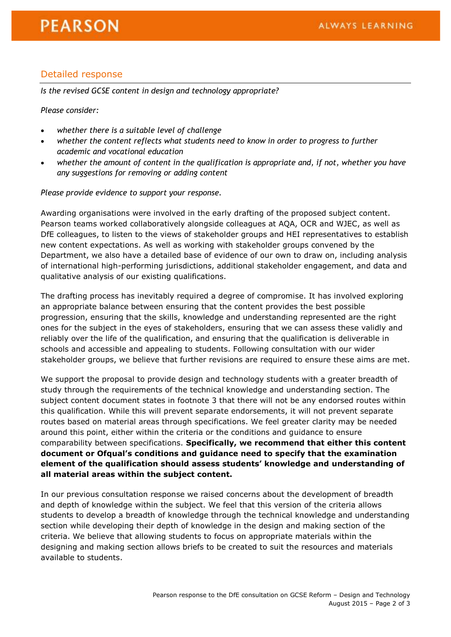### Detailed response

*Is the revised GCSE content in design and technology appropriate?*

*Please consider:*

- *whether there is a suitable level of challenge*
- *whether the content reflects what students need to know in order to progress to further academic and vocational education*
- *whether the amount of content in the qualification is appropriate and, if not, whether you have any suggestions for removing or adding content*

*Please provide evidence to support your response.*

Awarding organisations were involved in the early drafting of the proposed subject content. Pearson teams worked collaboratively alongside colleagues at AQA, OCR and WJEC, as well as DfE colleagues, to listen to the views of stakeholder groups and HEI representatives to establish new content expectations. As well as working with stakeholder groups convened by the Department, we also have a detailed base of evidence of our own to draw on, including analysis of international high-performing jurisdictions, additional stakeholder engagement, and data and qualitative analysis of our existing qualifications.

The drafting process has inevitably required a degree of compromise. It has involved exploring an appropriate balance between ensuring that the content provides the best possible progression, ensuring that the skills, knowledge and understanding represented are the right ones for the subject in the eyes of stakeholders, ensuring that we can assess these validly and reliably over the life of the qualification, and ensuring that the qualification is deliverable in schools and accessible and appealing to students. Following consultation with our wider stakeholder groups, we believe that further revisions are required to ensure these aims are met.

We support the proposal to provide design and technology students with a greater breadth of study through the requirements of the technical knowledge and understanding section. The subject content document states in footnote 3 that there will not be any endorsed routes within this qualification. While this will prevent separate endorsements, it will not prevent separate routes based on material areas through specifications. We feel greater clarity may be needed around this point, either within the criteria or the conditions and guidance to ensure comparability between specifications. **Specifically, we recommend that either this content document or Ofqual's conditions and guidance need to specify that the examination element of the qualification should assess students' knowledge and understanding of all material areas within the subject content.**

In our previous consultation response we raised concerns about the development of breadth and depth of knowledge within the subject. We feel that this version of the criteria allows students to develop a breadth of knowledge through the technical knowledge and understanding section while developing their depth of knowledge in the design and making section of the criteria. We believe that allowing students to focus on appropriate materials within the designing and making section allows briefs to be created to suit the resources and materials available to students.